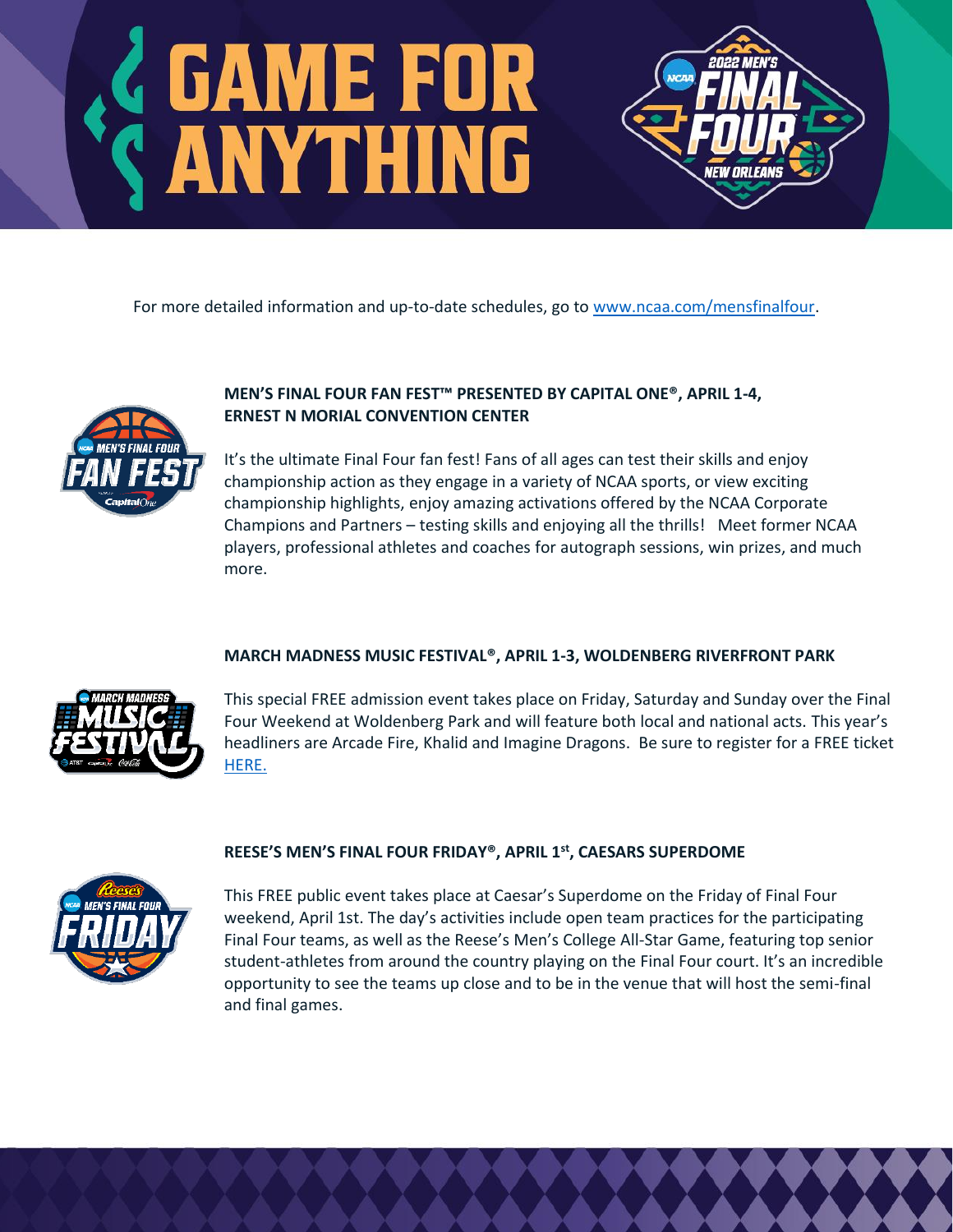# *SAME FOR<br>SANYTHING*

For more detailed information and up-to-date schedules, go to [www.ncaa.com/mensfinalfour.](http://www.ncaa.com/mensfinalfour)



# **MEN'S FINAL FOUR FAN FEST™ PRESENTED BY CAPITAL ONE®, APRIL 1-4, ERNEST N MORIAL CONVENTION CENTER**

It's the ultimate Final Four fan fest! Fans of all ages can test their skills and enjoy championship action as they engage in a variety of NCAA sports, or view exciting championship highlights, enjoy amazing activations offered by the NCAA Corporate Champions and Partners – testing skills and enjoying all the thrills! Meet former NCAA players, professional athletes and coaches for autograph sessions, win prizes, and much more.

**EW ORLEANS** 

# **MARCH MADNESS MUSIC FESTIVAL®, APRIL 1-3, WOLDENBERG RIVERFRONT PARK**



This special FREE admission event takes place on Friday, Saturday and Sunday over the Final Four Weekend at Woldenberg Park and will feature both local and national acts. This year's headliners are Arcade Fire, Khalid and Imagine Dragons. Be sure to register for a FREE ticket [HERE.](https://www.ncaa.com/marchmadness/musicfest)

### **REESE'S MEN'S FINAL FOUR FRIDAY®, APRIL 1st , CAESARS SUPERDOME**



This FREE public event takes place at Caesar's Superdome on the Friday of Final Four weekend, April 1st. The day's activities include open team practices for the participating Final Four teams, as well as the Reese's Men's College All-Star Game, featuring top senior student-athletes from around the country playing on the Final Four court. It's an incredible opportunity to see the teams up close and to be in the venue that will host the semi-final and final games.